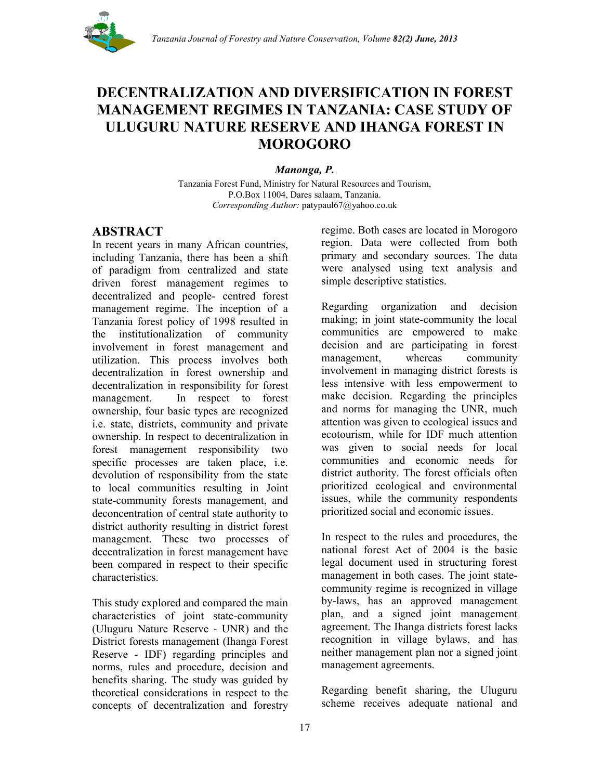

# **DECENTRALIZATION AND DIVERSIFICATION IN FOREST MANAGEMENT REGIMES IN TANZANIA: CASE STUDY OF ULUGURU NATURE RESERVE AND IHANGA FOREST IN MOROGORO**

*Manonga, P.*

Tanzania Forest Fund, Ministry for Natural Resources and Tourism, P.O.Box 11004, Dares salaam, Tanzania. *Corresponding Author:* patypaul67@yahoo.co.uk

### **ABSTRACT**

In recent years in many African countries, including Tanzania, there has been a shift of paradigm from centralized and state driven forest management regimes to decentralized and people- centred forest management regime. The inception of a Tanzania forest policy of 1998 resulted in the institutionalization of community involvement in forest management and utilization. This process involves both decentralization in forest ownership and decentralization in responsibility for forest management. In respect to forest ownership, four basic types are recognized i.e. state, districts, community and private ownership. In respect to decentralization in forest management responsibility two specific processes are taken place, i.e. devolution of responsibility from the state to local communities resulting in Joint state-community forests management, and deconcentration of central state authority to district authority resulting in district forest management. These two processes of decentralization in forest management have been compared in respect to their specific characteristics.

This study explored and compared the main characteristics of joint state-community (Uluguru Nature Reserve - UNR) and the District forests management (Ihanga Forest Reserve - IDF) regarding principles and norms, rules and procedure, decision and benefits sharing. The study was guided by theoretical considerations in respect to the concepts of decentralization and forestry

regime. Both cases are located in Morogoro region. Data were collected from both primary and secondary sources. The data were analysed using text analysis and simple descriptive statistics.

Regarding organization and decision making; in joint state-community the local communities are empowered to make decision and are participating in forest management, whereas community involvement in managing district forests is less intensive with less empowerment to make decision. Regarding the principles and norms for managing the UNR, much attention was given to ecological issues and ecotourism, while for IDF much attention was given to social needs for local communities and economic needs for district authority. The forest officials often prioritized ecological and environmental issues, while the community respondents prioritized social and economic issues.

In respect to the rules and procedures, the national forest Act of 2004 is the basic legal document used in structuring forest management in both cases. The joint statecommunity regime is recognized in village by-laws, has an approved management plan, and a signed joint management agreement. The Ihanga districts forest lacks recognition in village bylaws, and has neither management plan nor a signed joint management agreements.

Regarding benefit sharing, the Uluguru scheme receives adequate national and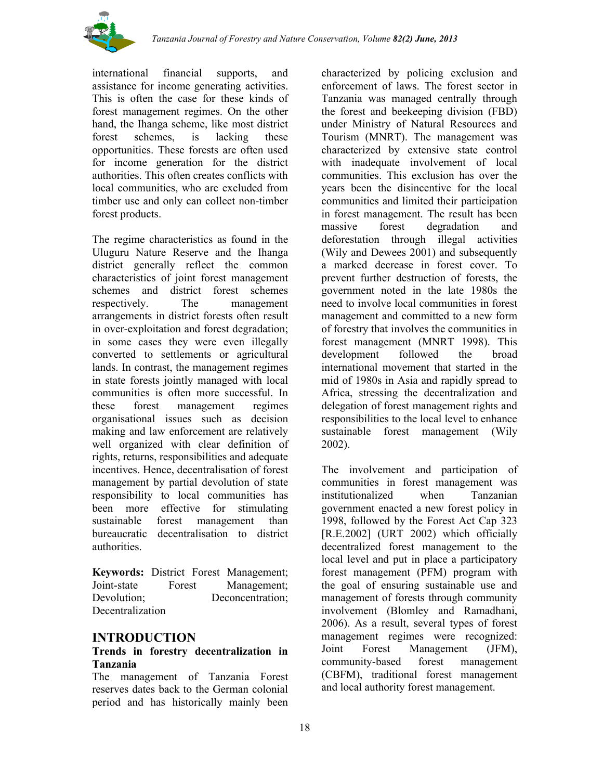

international financial supports, and assistance for income generating activities. This is often the case for these kinds of forest management regimes. On the other hand, the Ihanga scheme, like most district forest schemes, is lacking these opportunities. These forests are often used for income generation for the district authorities. This often creates conflicts with local communities, who are excluded from timber use and only can collect non-timber forest products.

The regime characteristics as found in the Uluguru Nature Reserve and the Ihanga district generally reflect the common characteristics of joint forest management schemes and district forest schemes respectively. The management arrangements in district forests often result in over-exploitation and forest degradation; in some cases they were even illegally converted to settlements or agricultural lands. In contrast, the management regimes in state forests jointly managed with local communities is often more successful. In these forest management regimes organisational issues such as decision making and law enforcement are relatively well organized with clear definition of rights, returns, responsibilities and adequate incentives. Hence, decentralisation of forest management by partial devolution of state responsibility to local communities has been more effective for stimulating sustainable forest management than bureaucratic decentralisation to district authorities.

**Keywords:** District Forest Management; Joint-state Forest Management; Devolution: Deconcentration: **Decentralization** 

#### **INTRODUCTION**

#### **Trends in forestry decentralization in Tanzania**

The management of Tanzania Forest reserves dates back to the German colonial period and has historically mainly been

characterized by policing exclusion and enforcement of laws. The forest sector in Tanzania was managed centrally through the forest and beekeeping division (FBD) under Ministry of Natural Resources and Tourism (MNRT). The management was characterized by extensive state control with inadequate involvement of local communities. This exclusion has over the years been the disincentive for the local communities and limited their participation in forest management. The result has been massive forest degradation and deforestation through illegal activities (Wily and Dewees 2001) and subsequently a marked decrease in forest cover. To prevent further destruction of forests, the government noted in the late 1980s the need to involve local communities in forest management and committed to a new form of forestry that involves the communities in forest management (MNRT 1998). This development followed the broad international movement that started in the mid of 1980s in Asia and rapidly spread to Africa, stressing the decentralization and delegation of forest management rights and responsibilities to the local level to enhance sustainable forest management (Wily 2002).

The involvement and participation of communities in forest management was institutionalized when Tanzanian government enacted a new forest policy in 1998, followed by the Forest Act Cap 323 [R.E.2002] (URT 2002) which officially decentralized forest management to the local level and put in place a participatory forest management (PFM) program with the goal of ensuring sustainable use and management of forests through community involvement (Blomley and Ramadhani, 2006). As a result, several types of forest management regimes were recognized: Joint Forest Management (JFM), community-based forest management (CBFM), traditional forest management and local authority forest management.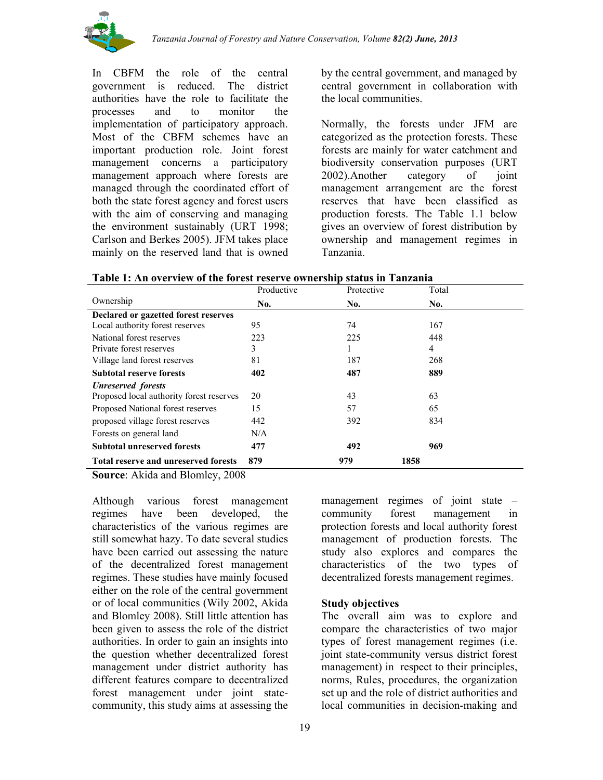

In CBFM the role of the central government is reduced. The district authorities have the role to facilitate the processes and to monitor the implementation of participatory approach. Most of the CBFM schemes have an important production role. Joint forest management concerns a participatory management approach where forests are managed through the coordinated effort of both the state forest agency and forest users with the aim of conserving and managing the environment sustainably (URT 1998; Carlson and Berkes 2005). JFM takes place mainly on the reserved land that is owned

by the central government, and managed by central government in collaboration with the local communities.

Normally, the forests under JFM are categorized as the protection forests. These forests are mainly for water catchment and biodiversity conservation purposes (URT 2002).Another category of joint management arrangement are the forest reserves that have been classified as production forests. The Table 1.1 below gives an overview of forest distribution by ownership and management regimes in Tanzania.

| Table 1: An overview of the forest reserve ownership status in Tanzania |            |            |       |
|-------------------------------------------------------------------------|------------|------------|-------|
|                                                                         | Productive | Protective | Total |

|                                             | Productive | Protective | Total |  |
|---------------------------------------------|------------|------------|-------|--|
| Ownership                                   | No.        | No.        | No.   |  |
| Declared or gazetted forest reserves        |            |            |       |  |
| Local authority forest reserves             | 95         | 74         | 167   |  |
| National forest reserves                    | 223        | 225        | 448   |  |
| Private forest reserves                     | 3          |            | 4     |  |
| Village land forest reserves                | 81         | 187        | 268   |  |
| <b>Subtotal reserve forests</b>             | 402        | 487        | 889   |  |
| <b>Unreserved</b> forests                   |            |            |       |  |
| Proposed local authority forest reserves    | 20         | 43         | 63    |  |
| Proposed National forest reserves           | 15         | 57         | 65    |  |
| proposed village forest reserves            | 442        | 392        | 834   |  |
| Forests on general land                     | N/A        |            |       |  |
| <b>Subtotal unreserved forests</b>          | 477        | 492        | 969   |  |
| <b>Total reserve and unreserved forests</b> | 879        | 979        | 1858  |  |

**Source**: Akida and Blomley, 2008

Although various forest management regimes have been developed, the characteristics of the various regimes are still somewhat hazy. To date several studies have been carried out assessing the nature of the decentralized forest management regimes. These studies have mainly focused either on the role of the central government or of local communities (Wily 2002, Akida and Blomley 2008). Still little attention has been given to assess the role of the district authorities. In order to gain an insights into the question whether decentralized forest management under district authority has different features compare to decentralized forest management under joint statecommunity, this study aims at assessing the

management regimes of joint state – community forest management in protection forests and local authority forest management of production forests. The study also explores and compares the characteristics of the two types of decentralized forests management regimes.

#### **Study objectives**

The overall aim was to explore and compare the characteristics of two major types of forest management regimes (i.e. joint state-community versus district forest management) in respect to their principles, norms, Rules, procedures, the organization set up and the role of district authorities and local communities in decision-making and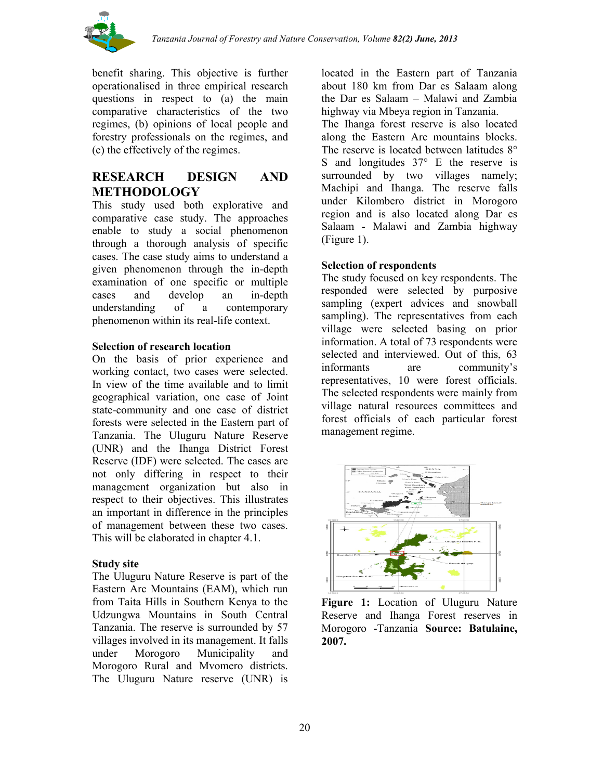

benefit sharing. This objective is further operationalised in three empirical research questions in respect to (a) the main comparative characteristics of the two regimes, (b) opinions of local people and forestry professionals on the regimes, and (c) the effectively of the regimes.

## **RESEARCH DESIGN AND METHODOLOGY**

This study used both explorative and comparative case study. The approaches enable to study a social phenomenon through a thorough analysis of specific cases. The case study aims to understand a given phenomenon through the in-depth examination of one specific or multiple cases and develop an in-depth understanding of a contemporary phenomenon within its real-life context.

#### **Selection of research location**

On the basis of prior experience and working contact, two cases were selected. In view of the time available and to limit geographical variation, one case of Joint state-community and one case of district forests were selected in the Eastern part of Tanzania. The Uluguru Nature Reserve (UNR) and the Ihanga District Forest Reserve (IDF) were selected. The cases are not only differing in respect to their management organization but also in respect to their objectives. This illustrates an important in difference in the principles of management between these two cases. This will be elaborated in chapter 4.1.

#### **Study site**

The Uluguru Nature Reserve is part of the Eastern Arc Mountains (EAM), which run from Taita Hills in Southern Kenya to the Udzungwa Mountains in South Central Tanzania. The reserve is surrounded by 57 villages involved in its management. It falls under Morogoro Municipality and Morogoro Rural and Mvomero districts. The Uluguru Nature reserve (UNR) is

located in the Eastern part of Tanzania about 180 km from Dar es Salaam along the Dar es Salaam – Malawi and Zambia highway via Mbeya region in Tanzania.

The Ihanga forest reserve is also located along the Eastern Arc mountains blocks. The reserve is located between latitudes  $8^{\circ}$ S and longitudes  $37^\circ$  E the reserve is surrounded by two villages namely; Machipi and Ihanga. The reserve falls under Kilombero district in Morogoro region and is also located along Dar es Salaam - Malawi and Zambia highway (Figure 1).

#### **Selection of respondents**

The study focused on key respondents. The responded were selected by purposive sampling (expert advices and snowball sampling). The representatives from each village were selected basing on prior information. A total of 73 respondents were selected and interviewed. Out of this, 63 informants are community's representatives, 10 were forest officials. The selected respondents were mainly from village natural resources committees and forest officials of each particular forest management regime.



**Figure 1:** Location of Uluguru Nature Reserve and Ihanga Forest reserves in Morogoro -Tanzania **Source: Batulaine, 2007.**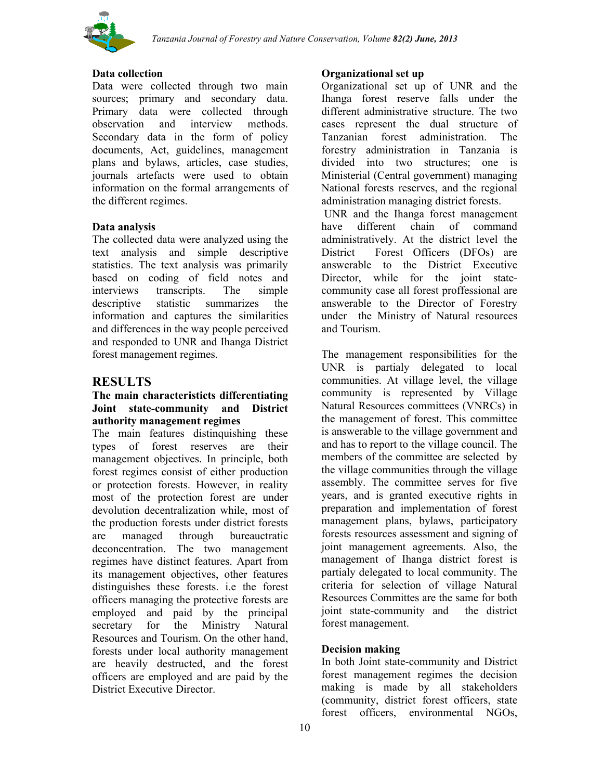

#### **Data collection**

Data were collected through two main sources; primary and secondary data. Primary data were collected through observation and interview methods. Secondary data in the form of policy documents, Act, guidelines, management plans and bylaws, articles, case studies, journals artefacts were used to obtain information on the formal arrangements of the different regimes.

#### **Data analysis**

The collected data were analyzed using the text analysis and simple descriptive statistics. The text analysis was primarily based on coding of field notes and interviews transcripts. The simple descriptive statistic summarizes the information and captures the similarities and differences in the way people perceived and responded to UNR and Ihanga District forest management regimes.

### **RESULTS**

#### **The main characteristicts differentiating Joint state-community and District authority management regimes**

The main features distinquishing these types of forest reserves are their management objectives. In principle, both forest regimes consist of either production or protection forests. However, in reality most of the protection forest are under devolution decentralization while, most of the production forests under district forests are managed through bureauctratic deconcentration. The two management regimes have distinct features. Apart from its management objectives, other features distinguishes these forests. i.e the forest officers managing the protective forests are employed and paid by the principal secretary for the Ministry Natural Resources and Tourism. On the other hand, forests under local authority management are heavily destructed, and the forest officers are employed and are paid by the District Executive Director.

#### **Organizational set up**

Organizational set up of UNR and the Ihanga forest reserve falls under the different administrative structure. The two cases represent the dual structure of Tanzanian forest administration. The forestry administration in Tanzania is divided into two structures; one is Ministerial (Central government) managing National forests reserves, and the regional administration managing district forests.

UNR and the Ihanga forest management have different chain of command administratively. At the district level the District Forest Officers (DFOs) are answerable to the District Executive Director, while for the joint statecommunity case all forest proffessional are answerable to the Director of Forestry under the Ministry of Natural resources and Tourism.

The management responsibilities for the UNR is partialy delegated to local communities. At village level, the village community is represented by Village Natural Resources committees (VNRCs) in the management of forest. This committee is answerable to the village government and and has to report to the village council. The members of the committee are selected by the village communities through the village assembly. The committee serves for five years, and is granted executive rights in preparation and implementation of forest management plans, bylaws, participatory forests resources assessment and signing of joint management agreements. Also, the management of Ihanga district forest is partialy delegated to local community. The criteria for selection of village Natural Resources Committes are the same for both joint state-community and the district forest management.

#### **Decision making**

In both Joint state-community and District forest management regimes the decision making is made by all stakeholders (community, district forest officers, state forest officers, environmental NGOs,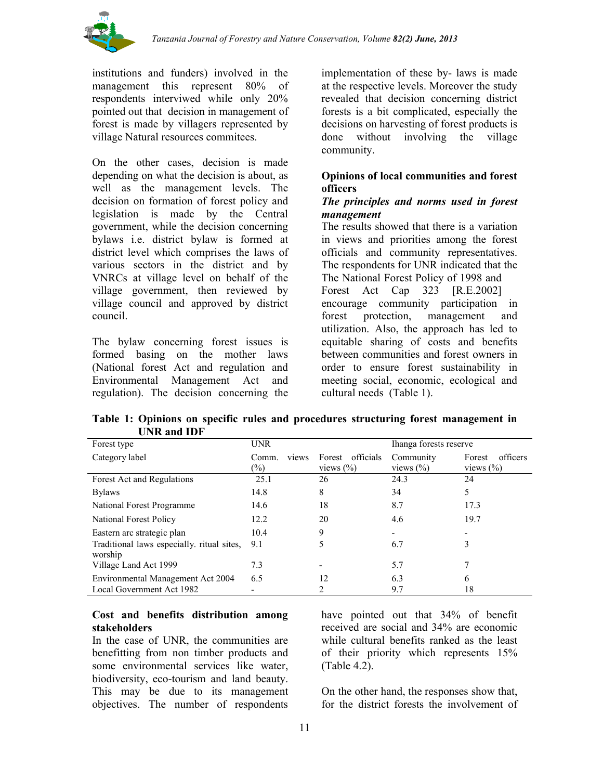

institutions and funders) involved in the management this represent 80% of respondents interviwed while only 20% pointed out that decision in management of forest is made by villagers represented by village Natural resources commitees.

On the other cases, decision is made depending on what the decision is about, as well as the management levels. The decision on formation of forest policy and legislation is made by the Central government, while the decision concerning bylaws i.e. district bylaw is formed at district level which comprises the laws of various sectors in the district and by VNRCs at village level on behalf of the village government, then reviewed by village council and approved by district council.

The bylaw concerning forest issues is formed basing on the mother laws (National forest Act and regulation and Environmental Management Act and regulation). The decision concerning the implementation of these by- laws is made at the respective levels. Moreover the study revealed that decision concerning district forests is a bit complicated, especially the decisions on harvesting of forest products is done without involving the village community.

### **Opinions of local communities and forest officers**

#### *The principles and norms used in forest management*

The results showed that there is a variation in views and priorities among the forest officials and community representatives. The respondents for UNR indicated that the The National Forest Policy of 1998 and Forest Act Cap 323 [R.E.2002] encourage community participation in forest protection, management and utilization. Also, the approach has led to equitable sharing of costs and benefits between communities and forest owners in order to ensure forest sustainability in meeting social, economic, ecological and cultural needs (Table 1).

**Table 1: Opinions on specific rules and procedures structuring forest management in UNR and IDF**

| Forest type                                | <b>UNR</b><br>Ihanga forests reserve |                     |               |                    |
|--------------------------------------------|--------------------------------------|---------------------|---------------|--------------------|
| Category label                             | Comm.<br>views                       | officials<br>Forest | Community     | officers<br>Forest |
|                                            | $(\%)$                               | views $(\% )$       | views $(\% )$ | views $(\% )$      |
| Forest Act and Regulations                 | 25.1                                 | 26                  | 24.3          | 24                 |
| <b>Bylaws</b>                              | 14.8                                 | 8                   | 34            | 5                  |
| National Forest Programme                  | 14.6                                 | 18                  | 8.7           | 17.3               |
| National Forest Policy                     | 12.2                                 | 20                  | 4.6           | 19.7               |
| Eastern arc strategic plan                 | 10.4                                 | 9                   |               |                    |
| Traditional laws especially, ritual sites, | 9.1                                  |                     | 6.7           | 3                  |
| worship                                    |                                      |                     |               |                    |
| Village Land Act 1999                      | 7.3                                  |                     | 5.7           |                    |
| Environmental Management Act 2004          | 6.5                                  | 12                  | 6.3           | 6                  |
| Local Government Act 1982                  |                                      |                     | 9.7           | 18                 |

#### **Cost and benefits distribution among stakeholders**

In the case of UNR, the communities are benefitting from non timber products and some environmental services like water, biodiversity, eco-tourism and land beauty. This may be due to its management objectives. The number of respondents

have pointed out that 34% of benefit received are social and 34% are economic while cultural benefits ranked as the least of their priority which represents 15% (Table 4.2).

On the other hand, the responses show that, for the district forests the involvement of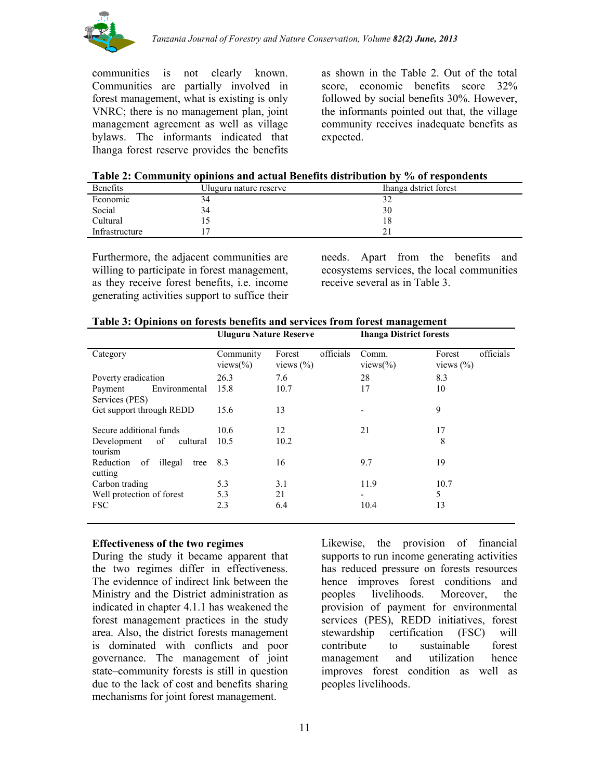

communities is not clearly known. Communities are partially involved in forest management, what is existing is only VNRC; there is no management plan, joint management agreement as well as village bylaws. The informants indicated that Ihanga forest reserve provides the benefits

as shown in the Table 2. Out of the total score, economic benefits score 32% followed by social benefits 30%. However, the informants pointed out that, the village community receives inadequate benefits as expected.

| Table 2: Community opinions and actual Benefits distribution by % of respondents |
|----------------------------------------------------------------------------------|
|----------------------------------------------------------------------------------|

| <b>Benefits</b> | Uluguru nature reserve | Ihanga dstrict forest |
|-----------------|------------------------|-----------------------|
| Economic        | 34                     |                       |
| Social          | 34                     | 30                    |
| Cultural        |                        | 18                    |
| Infrastructure  |                        |                       |

Furthermore, the adjacent communities are willing to participate in forest management, as they receive forest benefits, i.e. income generating activities support to suffice their needs. Apart from the benefits and ecosystems services, the local communities receive several as in Table 3.

|                                            | <b>Uluguru Nature Reserve</b>    |                                            | <b>Ihanga District forests</b> |                                      |
|--------------------------------------------|----------------------------------|--------------------------------------------|--------------------------------|--------------------------------------|
| Category                                   | Community<br>views $\frac{6}{6}$ | officials<br>Forest<br>views $\frac{6}{6}$ | Comm.<br>views $\frac{6}{6}$   | officials<br>Forest<br>views $(\% )$ |
| Poverty eradication                        | 26.3                             | 7.6                                        | 28                             | 8.3                                  |
| Environmental<br>Payment<br>Services (PES) | 15.8                             | 10.7                                       | 17                             | 10                                   |
| Get support through REDD                   | 15.6                             | 13                                         |                                | 9                                    |
| Secure additional funds                    | 10.6                             | 12                                         | 21                             | 17                                   |
| Development of<br>cultural<br>tourism      | 10.5                             | 10.2                                       |                                | 8                                    |
| illegal<br>Reduction of<br>tree<br>cutting | 8.3                              | 16                                         | 9.7                            | 19                                   |
| Carbon trading                             | 5.3                              | 3.1                                        | 11.9                           | 10.7                                 |
| Well protection of forest                  | 5.3                              | 21                                         | ۰                              | 5                                    |
| <b>FSC</b>                                 | 2.3                              | 6.4                                        | 10.4                           | 13                                   |

#### **Effectiveness of the two regimes**

During the study it became apparent that the two regimes differ in effectiveness. The evidennce of indirect link between the Ministry and the District administration as indicated in chapter 4.1.1 has weakened the forest management practices in the study area. Also, the district forests management is dominated with conflicts and poor governance. The management of joint state–community forests is still in question due to the lack of cost and benefits sharing mechanisms for joint forest management.

Likewise, the provision of financial supports to run income generating activities has reduced pressure on forests resources hence improves forest conditions and peoples livelihoods. Moreover, the provision of payment for environmental services (PES), REDD initiatives, forest stewardship certification (FSC) will contribute to sustainable forest management and utilization hence improves forest condition as well as peoples livelihoods.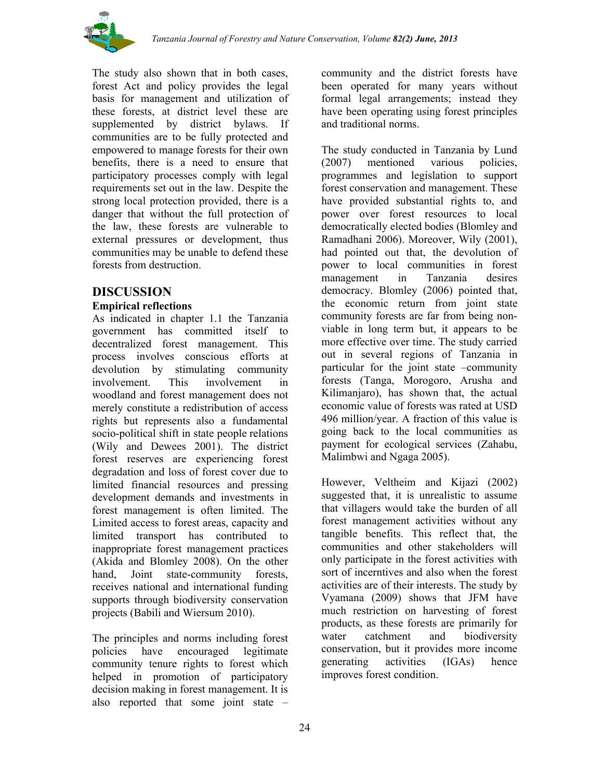

The study also shown that in both cases, forest Act and policy provides the legal basis for management and utilization of these forests, at district level these are supplemented by district bylaws. If communities are to be fully protected and empowered to manage forests for their own benefits, there is a need to ensure that participatory processes comply with legal requirements set out in the law. Despite the strong local protection provided, there is a danger that without the full protection of the law, these forests are vulnerable to external pressures or development, thus communities may be unable to defend these forests from destruction.

### **DISCUSSION**

### **Empirical reflections**

As indicated in chapter 1.1 the Tanzania government has committed itself to decentralized forest management. This process involves conscious efforts at devolution by stimulating community involvement. This involvement in woodland and forest management does not merely constitute a redistribution of access rights but represents also a fundamental socio-political shift in state people relations (Wily and Dewees 2001). The district forest reserves are experiencing forest degradation and loss of forest cover due to limited financial resources and pressing development demands and investments in forest management is often limited. The Limited access to forest areas, capacity and limited transport has contributed to inappropriate forest management practices (Akida and Blomley 2008). On the other hand, Joint state-community forests, receives national and international funding supports through biodiversity conservation projects (Babili and Wiersum 2010).

The principles and norms including forest policies have encouraged legitimate community tenure rights to forest which helped in promotion of participatory decision making in forest management. It is also reported that some joint state –

community and the district forests have been operated for many years without formal legal arrangements; instead they have been operating using forest principles and traditional norms.

The study conducted in Tanzania by Lund (2007) mentioned various policies, programmes and legislation to support forest conservation and management. These have provided substantial rights to, and power over forest resources to local democratically elected bodies (Blomley and Ramadhani 2006). Moreover, Wily (2001), had pointed out that, the devolution of power to local communities in forest management in Tanzania desires democracy. Blomley (2006) pointed that, the economic return from joint state community forests are far from being nonviable in long term but, it appears to be more effective over time. The study carried out in several regions of Tanzania in particular for the joint state –community forests (Tanga, Morogoro, Arusha and Kilimanjaro), has shown that, the actual economic value of forests was rated at USD 496 million/year. A fraction of this value is going back to the local communities as payment for ecological services (Zahabu, Malimbwi and Ngaga 2005).

However, Veltheim and Kijazi (2002) suggested that, it is unrealistic to assume that villagers would take the burden of all forest management activities without any tangible benefits. This reflect that, the communities and other stakeholders will only participate in the forest activities with sort of incerntives and also when the forest activities are of their interests. The study by Vyamana (2009) shows that JFM have much restriction on harvesting of forest products, as these forests are primarily for water catchment and biodiversity conservation, but it provides more income generating activities (IGAs) hence improves forest condition.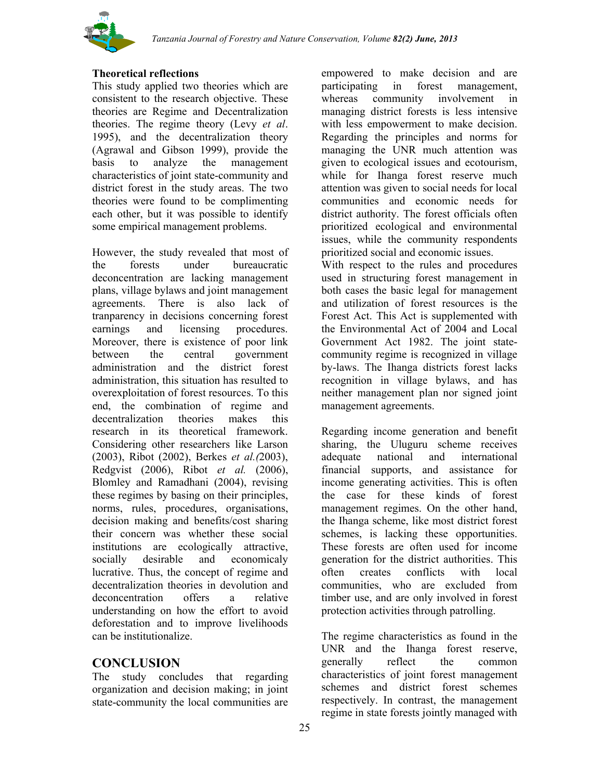

### **Theoretical reflections**

This study applied two theories which are consistent to the research objective. These theories are Regime and Decentralization theories. The regime theory (Levy *et al*. 1995), and the decentralization theory (Agrawal and Gibson 1999), provide the basis to analyze the management characteristics of joint state-community and district forest in the study areas. The two theories were found to be complimenting each other, but it was possible to identify some empirical management problems.

However, the study revealed that most of the forests under bureaucratic deconcentration are lacking management plans, village bylaws and joint management agreements. There is also lack of tranparency in decisions concerning forest earnings and licensing procedures. Moreover, there is existence of poor link between the central government administration and the district forest administration, this situation has resulted to overexploitation of forest resources. To this end, the combination of regime and decentralization theories makes this research in its theoretical framework. Considering other researchers like Larson (2003), Ribot (2002), Berkes *et al.(*2003), Redgvist (2006), Ribot *et al.* (2006), Blomley and Ramadhani (2004), revising these regimes by basing on their principles, norms, rules, procedures, organisations, decision making and benefits/cost sharing their concern was whether these social institutions are ecologically attractive, socially desirable and economicaly lucrative. Thus, the concept of regime and decentralization theories in devolution and deconcentration offers a relative understanding on how the effort to avoid deforestation and to improve livelihoods can be institutionalize.

### **CONCLUSION**

The study concludes that regarding organization and decision making; in joint state-community the local communities are empowered to make decision and are participating in forest management, whereas community involvement in managing district forests is less intensive with less empowerment to make decision. Regarding the principles and norms for managing the UNR much attention was given to ecological issues and ecotourism, while for Ihanga forest reserve much attention was given to social needs for local communities and economic needs for district authority. The forest officials often prioritized ecological and environmental issues, while the community respondents prioritized social and economic issues.

With respect to the rules and procedures used in structuring forest management in both cases the basic legal for management and utilization of forest resources is the Forest Act. This Act is supplemented with the Environmental Act of 2004 and Local Government Act 1982. The joint statecommunity regime is recognized in village by-laws. The Ihanga districts forest lacks recognition in village bylaws, and has neither management plan nor signed joint management agreements.

Regarding income generation and benefit sharing, the Uluguru scheme receives adequate national and international financial supports, and assistance for income generating activities. This is often the case for these kinds of forest management regimes. On the other hand, the Ihanga scheme, like most district forest schemes, is lacking these opportunities. These forests are often used for income generation for the district authorities. This often creates conflicts with local communities, who are excluded from timber use, and are only involved in forest protection activities through patrolling.

The regime characteristics as found in the UNR and the Ihanga forest reserve, generally reflect the common characteristics of joint forest management schemes and district forest schemes respectively. In contrast, the management regime in state forests jointly managed with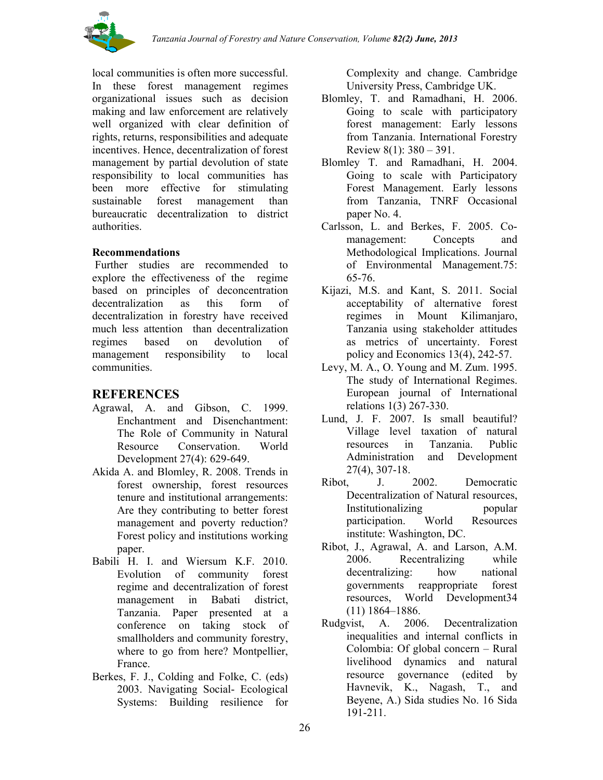

local communities is often more successful. In these forest management regimes organizational issues such as decision making and law enforcement are relatively well organized with clear definition of rights, returns, responsibilities and adequate incentives. Hence, decentralization of forest management by partial devolution of state responsibility to local communities has been more effective for stimulating sustainable forest management than bureaucratic decentralization to district authorities.

### **Recommendations**

Further studies are recommended to explore the effectiveness of the regime based on principles of deconcentration decentralization as this form of decentralization in forestry have received much less attention than decentralization regimes based on devolution of management responsibility to local communities.

# **REFERENCES**

- Agrawal, A. and Gibson, C. 1999. Enchantment and Disenchantment: The Role of Community in Natural Resource Conservation. World Development 27(4): 629-649.
- Akida A. and Blomley, R. 2008. Trends in forest ownership, forest resources tenure and institutional arrangements: Are they contributing to better forest management and poverty reduction? Forest policy and institutions working paper.
- Babili H. I. and Wiersum K.F. 2010. Evolution of community forest regime and decentralization of forest management in Babati district, Tanzania. Paper presented at a conference on taking stock of smallholders and community forestry, where to go from here? Montpellier, France.
- Berkes, F. J., Colding and Folke, C. (eds) 2003. Navigating Social- Ecological Systems: Building resilience for

Complexity and change. Cambridge University Press, Cambridge UK.

- Blomley, T. and Ramadhani, H. 2006. Going to scale with participatory forest management: Early lessons from Tanzania. International Forestry Review 8(1): 380 – 391.
- Blomley T. and Ramadhani, H. 2004. Going to scale with Participatory Forest Management. Early lessons from Tanzania, TNRF Occasional paper No. 4.
- Carlsson, L. and Berkes, F. 2005. Comanagement: Concepts and Methodological Implications. Journal of Environmental Management.75: 65-76.
- Kijazi, M.S. and Kant, S. 2011. Social acceptability of alternative forest regimes in Mount Kilimanjaro, Tanzania using stakeholder attitudes as metrics of uncertainty. Forest policy and Economics 13(4), 242-57.
- Levy, M. A., O. Young and M. Zum. 1995. The study of International Regimes. European journal of International relations 1(3) 267-330.
- Lund, J. F. 2007. Is small beautiful? Village level taxation of natural resources in Tanzania. Public Administration and Development 27(4), 307-18.
- Ribot, J. 2002. Democratic Decentralization of Natural resources, Institutionalizing popular participation. World Resources institute: Washington, DC.
- Ribot, J., Agrawal, A. and Larson, A.M. 2006. Recentralizing while decentralizing: how national governments reappropriate forest resources, World Development34 (11) 1864–1886.
- Rudgvist, A. 2006. Decentralization inequalities and internal conflicts in Colombia: Of global concern – Rural livelihood dynamics and natural resource governance (edited by Havnevik, K., Nagash, T., and Beyene, A.) Sida studies No. 16 Sida 191-211.